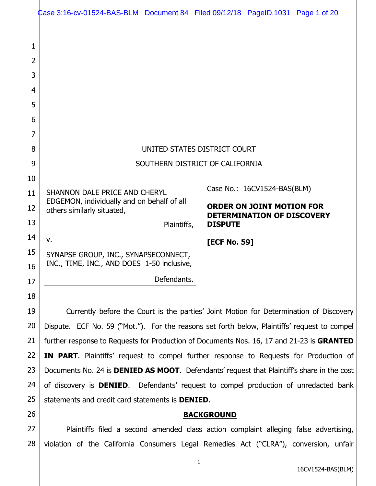|                | dase 3:16-cv-01524-BAS-BLM Document 84 Filed 09/12/18 PageID.1031 Page 1 of 20                     |             |                                                                       |                             |  |
|----------------|----------------------------------------------------------------------------------------------------|-------------|-----------------------------------------------------------------------|-----------------------------|--|
|                |                                                                                                    |             |                                                                       |                             |  |
| 1              |                                                                                                    |             |                                                                       |                             |  |
| $\overline{2}$ |                                                                                                    |             |                                                                       |                             |  |
| 3              |                                                                                                    |             |                                                                       |                             |  |
| $\overline{4}$ |                                                                                                    |             |                                                                       |                             |  |
| 5              |                                                                                                    |             |                                                                       |                             |  |
| 6              |                                                                                                    |             |                                                                       |                             |  |
| 7              |                                                                                                    |             |                                                                       |                             |  |
| 8              | UNITED STATES DISTRICT COURT                                                                       |             |                                                                       |                             |  |
| 9              | SOUTHERN DISTRICT OF CALIFORNIA                                                                    |             |                                                                       |                             |  |
| 10             |                                                                                                    |             |                                                                       |                             |  |
| 11             | SHANNON DALE PRICE AND CHERYL<br>EDGEMON, individually and on behalf of all                        |             |                                                                       | Case No.: 16CV1524-BAS(BLM) |  |
| 12             | others similarly situated,                                                                         |             | <b>ORDER ON JOINT MOTION FOR</b><br><b>DETERMINATION OF DISCOVERY</b> |                             |  |
| 13             |                                                                                                    | Plaintiffs, | <b>DISPUTE</b>                                                        |                             |  |
| 14             | $V_{\bullet}$                                                                                      |             | [ECF No. 59]                                                          |                             |  |
| 15             | SYNAPSE GROUP, INC., SYNAPSECONNECT,                                                               |             |                                                                       |                             |  |
| 16             | INC., TIME, INC., AND DOES 1-50 inclusive,                                                         |             |                                                                       |                             |  |
| 17             |                                                                                                    | Defendants. |                                                                       |                             |  |
| 18             |                                                                                                    |             |                                                                       |                             |  |
| 19             | Currently before the Court is the parties' Joint Motion for Determination of Discovery             |             |                                                                       |                             |  |
| 20             | Dispute. ECF No. 59 ("Mot."). For the reasons set forth below, Plaintiffs' request to compel       |             |                                                                       |                             |  |
| 21             | further response to Requests for Production of Documents Nos. 16, 17 and 21-23 is GRANTED          |             |                                                                       |                             |  |
| 22             | <b>IN PART.</b> Plaintiffs' request to compel further response to Requests for Production of       |             |                                                                       |                             |  |
| 23             | Documents No. 24 is <b>DENIED AS MOOT</b> . Defendants' request that Plaintiff's share in the cost |             |                                                                       |                             |  |
| 24             | of discovery is <b>DENIED</b> . Defendants' request to compel production of unredacted bank        |             |                                                                       |                             |  |
| 25             | statements and credit card statements is DENIED.                                                   |             |                                                                       |                             |  |
| 26             |                                                                                                    |             | <b>BACKGROUND</b>                                                     |                             |  |

27 28 Plaintiffs filed a second amended class action complaint alleging false advertising, violation of the California Consumers Legal Remedies Act ("CLRA"), conversion, unfair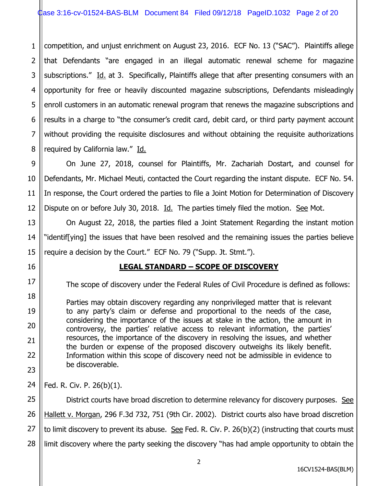1 2 3 4 5 6 7 8 competition, and unjust enrichment on August 23, 2016. ECF No. 13 ("SAC"). Plaintiffs allege that Defendants "are engaged in an illegal automatic renewal scheme for magazine subscriptions." Id. at 3. Specifically, Plaintiffs allege that after presenting consumers with an opportunity for free or heavily discounted magazine subscriptions, Defendants misleadingly enroll customers in an automatic renewal program that renews the magazine subscriptions and results in a charge to "the consumer's credit card, debit card, or third party payment account without providing the requisite disclosures and without obtaining the requisite authorizations required by California law." Id.

9 10 11 12 On June 27, 2018, counsel for Plaintiffs, Mr. Zachariah Dostart, and counsel for Defendants, Mr. Michael Meuti, contacted the Court regarding the instant dispute. ECF No. 54. In response, the Court ordered the parties to file a Joint Motion for Determination of Discovery Dispute on or before July 30, 2018. Id. The parties timely filed the motion. See Mot.

On August 22, 2018, the parties filed a Joint Statement Regarding the instant motion "identif[ying] the issues that have been resolved and the remaining issues the parties believe require a decision by the Court." ECF No. 79 ("Supp. Jt. Stmt.").

# **LEGAL STANDARD – SCOPE OF DISCOVERY**

The scope of discovery under the Federal Rules of Civil Procedure is defined as follows:

Parties may obtain discovery regarding any nonprivileged matter that is relevant to any party's claim or defense and proportional to the needs of the case, considering the importance of the issues at stake in the action, the amount in controversy, the parties' relative access to relevant information, the parties' resources, the importance of the discovery in resolving the issues, and whether the burden or expense of the proposed discovery outweighs its likely benefit. Information within this scope of discovery need not be admissible in evidence to be discoverable.

24 Fed. R. Civ. P. 26(b)(1).

13

14

15

16

17

18

19

20

21

22

23

25 26 27 28 District courts have broad discretion to determine relevancy for discovery purposes. See Hallett v. Morgan, 296 F.3d 732, 751 (9th Cir. 2002). District courts also have broad discretion to limit discovery to prevent its abuse. See Fed. R. Civ. P.  $26(b)(2)$  (instructing that courts must limit discovery where the party seeking the discovery "has had ample opportunity to obtain the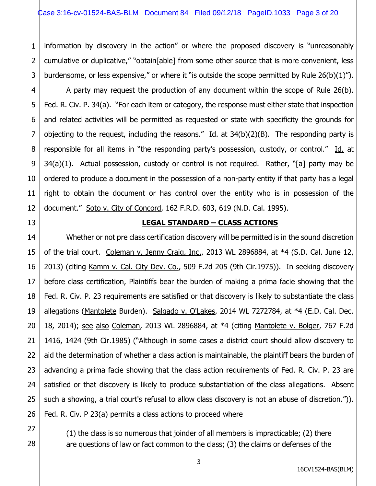1 2 3 information by discovery in the action" or where the proposed discovery is "unreasonably cumulative or duplicative," "obtain[able] from some other source that is more convenient, less burdensome, or less expensive," or where it "is outside the scope permitted by Rule 26(b)(1)").

4

5

6

7

8

9

10

11

12

13

21

27

28

A party may request the production of any document within the scope of Rule 26(b). Fed. R. Civ. P. 34(a). "For each item or category, the response must either state that inspection and related activities will be permitted as requested or state with specificity the grounds for objecting to the request, including the reasons." Id. at  $34(b)(2)(B)$ . The responding party is responsible for all items in "the responding party's possession, custody, or control." Id. at 34(a)(1). Actual possession, custody or control is not required. Rather, "[a] party may be ordered to produce a document in the possession of a non-party entity if that party has a legal right to obtain the document or has control over the entity who is in possession of the document." Soto v. City of Concord, 162 F.R.D. 603, 619 (N.D. Cal. 1995).

#### **LEGAL STANDARD – CLASS ACTIONS**

14 15 16 17 18 19 20 22 23 24 25 26 Whether or not pre class certification discovery will be permitted is in the sound discretion of the trial court. Coleman v. Jenny Craig, Inc., 2013 WL 2896884, at \*4 (S.D. Cal. June 12, 2013) (citing Kamm v. Cal. City Dev. Co., 509 F.2d 205 (9th Cir.1975)). In seeking discovery before class certification, Plaintiffs bear the burden of making a prima facie showing that the Fed. R. Civ. P. 23 requirements are satisfied or that discovery is likely to substantiate the class allegations (Mantolete Burden). Salgado v. O'Lakes, 2014 WL 7272784, at \*4 (E.D. Cal. Dec. 18, 2014); see also Coleman, 2013 WL 2896884, at \*4 (citing Mantolete v. Bolger, 767 F.2d 1416, 1424 (9th Cir.1985) ("Although in some cases a district court should allow discovery to aid the determination of whether a class action is maintainable, the plaintiff bears the burden of advancing a prima facie showing that the class action requirements of Fed. R. Civ. P. 23 are satisfied or that discovery is likely to produce substantiation of the class allegations. Absent such a showing, a trial court's refusal to allow class discovery is not an abuse of discretion.")). Fed. R. Civ. P 23(a) permits a class actions to proceed where

> (1) the class is so numerous that joinder of all members is impracticable; (2) there are questions of law or fact common to the class; (3) the claims or defenses of the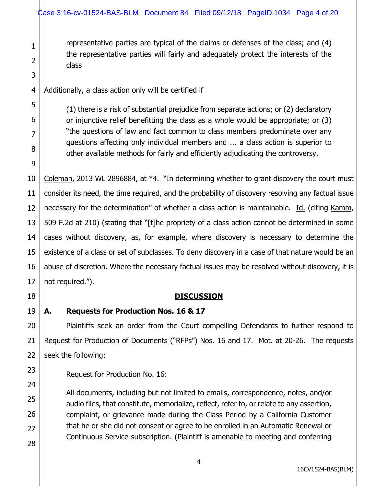representative parties are typical of the claims or defenses of the class; and (4) the representative parties will fairly and adequately protect the interests of the class

4 Additionally, a class action only will be certified if

1

2

3

5

6

7

8

9

18

19

20

21

22

23

24

25

26

27

28

(1) there is a risk of substantial prejudice from separate actions; or (2) declaratory or injunctive relief benefitting the class as a whole would be appropriate; or (3) "the questions of law and fact common to class members predominate over any questions affecting only individual members and ... a class action is superior to other available methods for fairly and efficiently adjudicating the controversy.

10 11 12 13 14 15 16 17 Coleman, 2013 WL 2896884, at \*4. "In determining whether to grant discovery the court must consider its need, the time required, and the probability of discovery resolving any factual issue necessary for the determination" of whether a class action is maintainable. Id. (citing Kamm, 509 F.2d at 210) (stating that "[t]he propriety of a class action cannot be determined in some cases without discovery, as, for example, where discovery is necessary to determine the existence of a class or set of subclasses. To deny discovery in a case of that nature would be an abuse of discretion. Where the necessary factual issues may be resolved without discovery, it is not required.").

# **DISCUSSION**

#### **A. Requests for Production Nos. 16 & 17**

Plaintiffs seek an order from the Court compelling Defendants to further respond to Request for Production of Documents ("RFPs") Nos. 16 and 17. Mot. at 20-26. The requests seek the following:

Request for Production No. 16:

All documents, including but not limited to emails, correspondence, notes, and/or audio files, that constitute, memorialize, reflect, refer to, or relate to any assertion, complaint, or grievance made during the Class Period by a California Customer that he or she did not consent or agree to be enrolled in an Automatic Renewal or Continuous Service subscription. (Plaintiff is amenable to meeting and conferring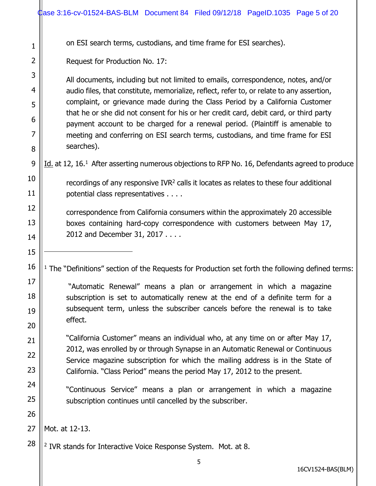|                | dase 3:16-cv-01524-BAS-BLM Document 84 Filed 09/12/18 PageID.1035 Page 5 of 20                                                                                                                                                                                                                                                                                                                                                         |  |  |  |  |  |
|----------------|----------------------------------------------------------------------------------------------------------------------------------------------------------------------------------------------------------------------------------------------------------------------------------------------------------------------------------------------------------------------------------------------------------------------------------------|--|--|--|--|--|
| 1              | on ESI search terms, custodians, and time frame for ESI searches).                                                                                                                                                                                                                                                                                                                                                                     |  |  |  |  |  |
| $\overline{2}$ | Request for Production No. 17:                                                                                                                                                                                                                                                                                                                                                                                                         |  |  |  |  |  |
| 3              | All documents, including but not limited to emails, correspondence, notes, and/or                                                                                                                                                                                                                                                                                                                                                      |  |  |  |  |  |
| $\overline{4}$ | audio files, that constitute, memorialize, reflect, refer to, or relate to any assertion,<br>complaint, or grievance made during the Class Period by a California Customer<br>that he or she did not consent for his or her credit card, debit card, or third party<br>payment account to be charged for a renewal period. (Plaintiff is amenable to<br>meeting and conferring on ESI search terms, custodians, and time frame for ESI |  |  |  |  |  |
| 5              |                                                                                                                                                                                                                                                                                                                                                                                                                                        |  |  |  |  |  |
| 6              |                                                                                                                                                                                                                                                                                                                                                                                                                                        |  |  |  |  |  |
| 7              |                                                                                                                                                                                                                                                                                                                                                                                                                                        |  |  |  |  |  |
| 8              | searches).                                                                                                                                                                                                                                                                                                                                                                                                                             |  |  |  |  |  |
| 9              | Id. at 12, 16. <sup>1</sup> After asserting numerous objections to RFP No. 16, Defendants agreed to produce                                                                                                                                                                                                                                                                                                                            |  |  |  |  |  |
| 10             | recordings of any responsive IVR <sup>2</sup> calls it locates as relates to these four additional                                                                                                                                                                                                                                                                                                                                     |  |  |  |  |  |
| 11             | potential class representatives                                                                                                                                                                                                                                                                                                                                                                                                        |  |  |  |  |  |
| 12             | correspondence from California consumers within the approximately 20 accessible                                                                                                                                                                                                                                                                                                                                                        |  |  |  |  |  |
| 13             | boxes containing hard-copy correspondence with customers between May 17,                                                                                                                                                                                                                                                                                                                                                               |  |  |  |  |  |
| 14             | 2012 and December 31, 2017                                                                                                                                                                                                                                                                                                                                                                                                             |  |  |  |  |  |
| 15             |                                                                                                                                                                                                                                                                                                                                                                                                                                        |  |  |  |  |  |
| 16             | The "Definitions" section of the Requests for Production set forth the following defined terms:                                                                                                                                                                                                                                                                                                                                        |  |  |  |  |  |
| 17             | "Automatic Renewal" means a plan or arrangement in which a magazine                                                                                                                                                                                                                                                                                                                                                                    |  |  |  |  |  |
| 18             | subscription is set to automatically renew at the end of a definite term for a                                                                                                                                                                                                                                                                                                                                                         |  |  |  |  |  |
| 19             | subsequent term, unless the subscriber cancels before the renewal is to take<br>effect.                                                                                                                                                                                                                                                                                                                                                |  |  |  |  |  |
| 20             | "California Customer" means an individual who, at any time on or after May 17,                                                                                                                                                                                                                                                                                                                                                         |  |  |  |  |  |
| 21             | 2012, was enrolled by or through Synapse in an Automatic Renewal or Continuous                                                                                                                                                                                                                                                                                                                                                         |  |  |  |  |  |
| 22             | Service magazine subscription for which the mailing address is in the State of                                                                                                                                                                                                                                                                                                                                                         |  |  |  |  |  |
| 23             | California. "Class Period" means the period May 17, 2012 to the present.                                                                                                                                                                                                                                                                                                                                                               |  |  |  |  |  |
| 24             | "Continuous Service" means a plan or arrangement in which a magazine                                                                                                                                                                                                                                                                                                                                                                   |  |  |  |  |  |
| 25             | subscription continues until cancelled by the subscriber.                                                                                                                                                                                                                                                                                                                                                                              |  |  |  |  |  |
| 26<br>27       | Mot. at 12-13.                                                                                                                                                                                                                                                                                                                                                                                                                         |  |  |  |  |  |
| 28             |                                                                                                                                                                                                                                                                                                                                                                                                                                        |  |  |  |  |  |
|                | <sup>2</sup> IVR stands for Interactive Voice Response System. Mot. at 8.                                                                                                                                                                                                                                                                                                                                                              |  |  |  |  |  |
|                | 5                                                                                                                                                                                                                                                                                                                                                                                                                                      |  |  |  |  |  |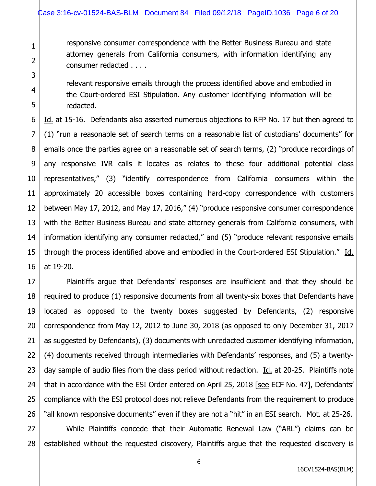1

2

3

4

5

6

7

responsive consumer correspondence with the Better Business Bureau and state attorney generals from California consumers, with information identifying any consumer redacted . . . .

relevant responsive emails through the process identified above and embodied in the Court-ordered ESI Stipulation. Any customer identifying information will be redacted.

8 9 10 11 12 13 14 15 16 Id. at 15-16. Defendants also asserted numerous objections to RFP No. 17 but then agreed to (1) "run a reasonable set of search terms on a reasonable list of custodians' documents" for emails once the parties agree on a reasonable set of search terms, (2) "produce recordings of any responsive IVR calls it locates as relates to these four additional potential class representatives," (3) "identify correspondence from California consumers within the approximately 20 accessible boxes containing hard-copy correspondence with customers between May 17, 2012, and May 17, 2016," (4) "produce responsive consumer correspondence with the Better Business Bureau and state attorney generals from California consumers, with information identifying any consumer redacted," and (5) "produce relevant responsive emails through the process identified above and embodied in the Court-ordered ESI Stipulation." Id. at 19-20.

17 18 19 20 21 22 23 24 25 26 Plaintiffs argue that Defendants' responses are insufficient and that they should be required to produce (1) responsive documents from all twenty-six boxes that Defendants have located as opposed to the twenty boxes suggested by Defendants, (2) responsive correspondence from May 12, 2012 to June 30, 2018 (as opposed to only December 31, 2017 as suggested by Defendants), (3) documents with unredacted customer identifying information, (4) documents received through intermediaries with Defendants' responses, and (5) a twentyday sample of audio files from the class period without redaction. Id. at 20-25. Plaintiffs note that in accordance with the ESI Order entered on April 25, 2018 [see ECF No. 47], Defendants' compliance with the ESI protocol does not relieve Defendants from the requirement to produce "all known responsive documents" even if they are not a "hit" in an ESI search. Mot. at 25-26.

27 28 While Plaintiffs concede that their Automatic Renewal Law ("ARL") claims can be established without the requested discovery, Plaintiffs argue that the requested discovery is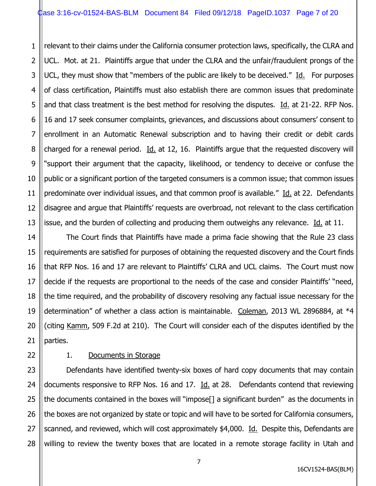1 2 3 4 5 6 7 8 9 10 11 12 13 relevant to their claims under the California consumer protection laws, specifically, the CLRA and UCL. Mot. at 21. Plaintiffs argue that under the CLRA and the unfair/fraudulent prongs of the UCL, they must show that "members of the public are likely to be deceived."  $\underline{Id}$ . For purposes of class certification, Plaintiffs must also establish there are common issues that predominate and that class treatment is the best method for resolving the disputes. Id. at 21-22. RFP Nos. 16 and 17 seek consumer complaints, grievances, and discussions about consumers' consent to enrollment in an Automatic Renewal subscription and to having their credit or debit cards charged for a renewal period.  $Id.$  at 12, 16. Plaintiffs argue that the requested discovery will "support their argument that the capacity, likelihood, or tendency to deceive or confuse the public or a significant portion of the targeted consumers is a common issue; that common issues predominate over individual issues, and that common proof is available." Id. at 22. Defendants disagree and argue that Plaintiffs' requests are overbroad, not relevant to the class certification issue, and the burden of collecting and producing them outweighs any relevance. Id. at 11.

14 15 16 17 18 19 20 21 The Court finds that Plaintiffs have made a prima facie showing that the Rule 23 class requirements are satisfied for purposes of obtaining the requested discovery and the Court finds that RFP Nos. 16 and 17 are relevant to Plaintiffs' CLRA and UCL claims. The Court must now decide if the requests are proportional to the needs of the case and consider Plaintiffs' "need, the time required, and the probability of discovery resolving any factual issue necessary for the determination" of whether a class action is maintainable. Coleman, 2013 WL 2896884, at \*4 (citing Kamm, 509 F.2d at 210). The Court will consider each of the disputes identified by the parties.

22

# 1. Documents in Storage

23 24 25 26 27 28 Defendants have identified twenty-six boxes of hard copy documents that may contain documents responsive to RFP Nos. 16 and 17. Id. at 28. Defendants contend that reviewing the documents contained in the boxes will "impose[] a significant burden" as the documents in the boxes are not organized by state or topic and will have to be sorted for California consumers, scanned, and reviewed, which will cost approximately \$4,000. Id. Despite this, Defendants are willing to review the twenty boxes that are located in a remote storage facility in Utah and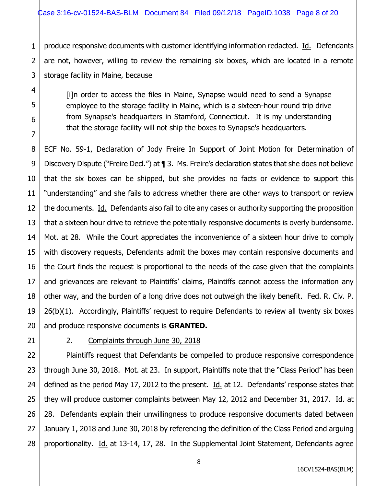1 produce responsive documents with customer identifying information redacted. Id. Defendants are not, however, willing to review the remaining six boxes, which are located in a remote storage facility in Maine, because

[i]n order to access the files in Maine, Synapse would need to send a Synapse employee to the storage facility in Maine, which is a sixteen-hour round trip drive from Synapse's headquarters in Stamford, Connecticut. It is my understanding that the storage facility will not ship the boxes to Synapse's headquarters.

ECF No. 59-1, Declaration of Jody Freire In Support of Joint Motion for Determination of Discovery Dispute ("Freire Decl.") at ¶ 3. Ms. Freire's declaration states that she does not believe that the six boxes can be shipped, but she provides no facts or evidence to support this "understanding" and she fails to address whether there are other ways to transport or review the documents. Id. Defendants also fail to cite any cases or authority supporting the proposition that a sixteen hour drive to retrieve the potentially responsive documents is overly burdensome. Mot. at 28. While the Court appreciates the inconvenience of a sixteen hour drive to comply with discovery requests, Defendants admit the boxes may contain responsive documents and the Court finds the request is proportional to the needs of the case given that the complaints and grievances are relevant to Plaintiffs' claims, Plaintiffs cannot access the information any other way, and the burden of a long drive does not outweigh the likely benefit. Fed. R. Civ. P. 26(b)(1). Accordingly, Plaintiffs' request to require Defendants to review all twenty six boxes and produce responsive documents is **GRANTED.**

# 2. Complaints through June 30, 2018

Plaintiffs request that Defendants be compelled to produce responsive correspondence through June 30, 2018. Mot. at 23. In support, Plaintiffs note that the "Class Period" has been defined as the period May 17, 2012 to the present. Id. at 12. Defendants' response states that they will produce customer complaints between May 12, 2012 and December 31, 2017. Id. at 28. Defendants explain their unwillingness to produce responsive documents dated between January 1, 2018 and June 30, 2018 by referencing the definition of the Class Period and arguing proportionality. Id. at 13-14, 17, 28. In the Supplemental Joint Statement, Defendants agree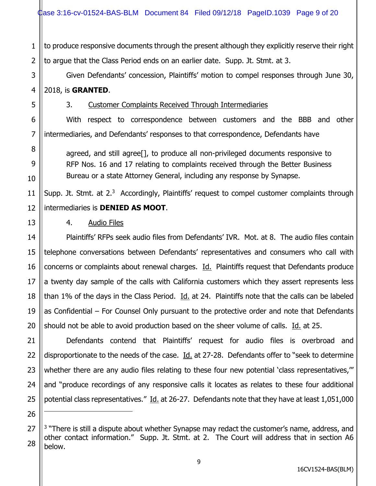1 2 to produce responsive documents through the present although they explicitly reserve their right to argue that the Class Period ends on an earlier date. Supp. Jt. Stmt. at 3.

Given Defendants' concession, Plaintiffs' motion to compel responses through June 30, 2018, is **GRANTED**.

3. Customer Complaints Received Through Intermediaries

With respect to correspondence between customers and the BBB and other intermediaries, and Defendants' responses to that correspondence, Defendants have

agreed, and still agree[], to produce all non-privileged documents responsive to RFP Nos. 16 and 17 relating to complaints received through the Better Business Bureau or a state Attorney General, including any response by Synapse.

11 12 Supp. Jt. Stmt. at  $2^3$  Accordingly, Plaintiffs' request to compel customer complaints through intermediaries is **DENIED AS MOOT**.

# 4. Audio Files

3

4

5

6

7

8

9

10

13

14

15

16

17

18

19

20

26

Plaintiffs' RFPs seek audio files from Defendants' IVR. Mot. at 8. The audio files contain telephone conversations between Defendants' representatives and consumers who call with concerns or complaints about renewal charges. Id. Plaintiffs request that Defendants produce a twenty day sample of the calls with California customers which they assert represents less than 1% of the days in the Class Period.  $\underline{Id}$  at 24. Plaintiffs note that the calls can be labeled as Confidential – For Counsel Only pursuant to the protective order and note that Defendants should not be able to avoid production based on the sheer volume of calls. Id. at 25.

21 22 23 24 25 Defendants contend that Plaintiffs' request for audio files is overbroad and disproportionate to the needs of the case. Id. at 27-28. Defendants offer to "seek to determine whether there are any audio files relating to these four new potential 'class representatives," and "produce recordings of any responsive calls it locates as relates to these four additional potential class representatives." Id. at 26-27. Defendants note that they have at least 1,051,000

<sup>27</sup> 28 <sup>3</sup> "There is still a dispute about whether Synapse may redact the customer's name, address, and other contact information." Supp. Jt. Stmt. at 2. The Court will address that in section A6 below.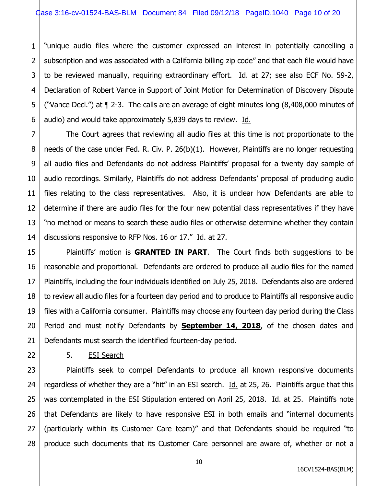1 2 3 4 5 6 "unique audio files where the customer expressed an interest in potentially cancelling a subscription and was associated with a California billing zip code" and that each file would have to be reviewed manually, requiring extraordinary effort.  $Id.$  at 27; see also ECF No. 59-2, Declaration of Robert Vance in Support of Joint Motion for Determination of Discovery Dispute ("Vance Decl.") at ¶ 2-3. The calls are an average of eight minutes long (8,408,000 minutes of audio) and would take approximately 5,839 days to review. Id.

8 9 10 13 14 The Court agrees that reviewing all audio files at this time is not proportionate to the needs of the case under Fed. R. Civ. P. 26(b)(1). However, Plaintiffs are no longer requesting all audio files and Defendants do not address Plaintiffs' proposal for a twenty day sample of audio recordings. Similarly, Plaintiffs do not address Defendants' proposal of producing audio files relating to the class representatives. Also, it is unclear how Defendants are able to determine if there are audio files for the four new potential class representatives if they have "no method or means to search these audio files or otherwise determine whether they contain discussions responsive to RFP Nos. 16 or 17." Id. at 27.

Plaintiffs' motion is **GRANTED IN PART**. The Court finds both suggestions to be reasonable and proportional. Defendants are ordered to produce all audio files for the named Plaintiffs, including the four individuals identified on July 25, 2018. Defendants also are ordered to review all audio files for a fourteen day period and to produce to Plaintiffs all responsive audio files with a California consumer. Plaintiffs may choose any fourteen day period during the Class Period and must notify Defendants by **September 14, 2018**, of the chosen dates and Defendants must search the identified fourteen-day period.

5. ESI Search

7

11

12

15

16

17

18

19

20

21

22

23 24 25 26 27 28 Plaintiffs seek to compel Defendants to produce all known responsive documents regardless of whether they are a "hit" in an ESI search.  $Id.$  at 25, 26. Plaintiffs argue that this was contemplated in the ESI Stipulation entered on April 25, 2018. Id. at 25. Plaintiffs note that Defendants are likely to have responsive ESI in both emails and "internal documents (particularly within its Customer Care team)" and that Defendants should be required "to produce such documents that its Customer Care personnel are aware of, whether or not a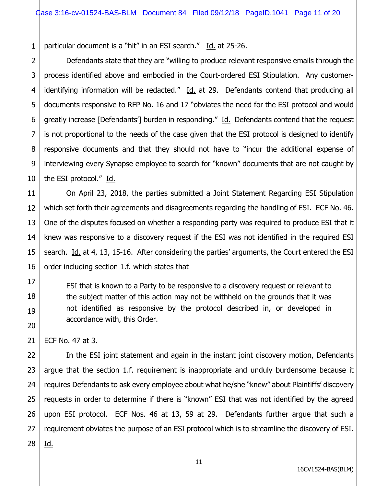1 particular document is a "hit" in an ESI search." Id. at 25-26.

2 3 4 5 6 7 8 9 10 Defendants state that they are "willing to produce relevant responsive emails through the process identified above and embodied in the Court-ordered ESI Stipulation. Any customeridentifying information will be redacted."  $\underline{Id}$  at 29. Defendants contend that producing all documents responsive to RFP No. 16 and 17 "obviates the need for the ESI protocol and would greatly increase [Defendants'] burden in responding." Id. Defendants contend that the request is not proportional to the needs of the case given that the ESI protocol is designed to identify responsive documents and that they should not have to "incur the additional expense of interviewing every Synapse employee to search for "known" documents that are not caught by the ESI protocol." Id.

11 12 13 14 15 16 On April 23, 2018, the parties submitted a Joint Statement Regarding ESI Stipulation which set forth their agreements and disagreements regarding the handling of ESI. ECF No. 46. One of the disputes focused on whether a responding party was required to produce ESI that it knew was responsive to a discovery request if the ESI was not identified in the required ESI search. Id. at 4, 13, 15-16. After considering the parties' arguments, the Court entered the ESI order including section 1.f. which states that

ESI that is known to a Party to be responsive to a discovery request or relevant to the subject matter of this action may not be withheld on the grounds that it was not identified as responsive by the protocol described in, or developed in accordance with, this Order.

ECF No. 47 at 3.

17

18

19

20

21

22 23 24 25 26 27 28 In the ESI joint statement and again in the instant joint discovery motion, Defendants argue that the section 1.f. requirement is inappropriate and unduly burdensome because it requires Defendants to ask every employee about what he/she "knew" about Plaintiffs' discovery requests in order to determine if there is "known" ESI that was not identified by the agreed upon ESI protocol. ECF Nos. 46 at 13, 59 at 29. Defendants further argue that such a requirement obviates the purpose of an ESI protocol which is to streamline the discovery of ESI. Id.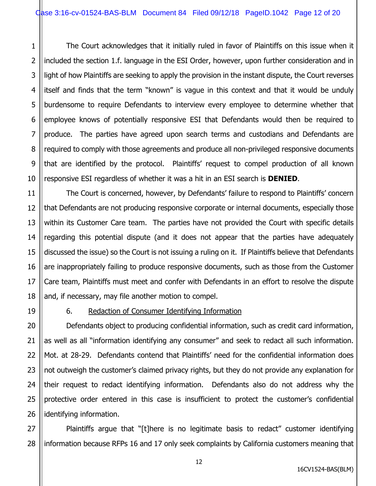1 2 3 4 5 6 7 8 9 10 The Court acknowledges that it initially ruled in favor of Plaintiffs on this issue when it included the section 1.f. language in the ESI Order, however, upon further consideration and in light of how Plaintiffs are seeking to apply the provision in the instant dispute, the Court reverses itself and finds that the term "known" is vague in this context and that it would be unduly burdensome to require Defendants to interview every employee to determine whether that employee knows of potentially responsive ESI that Defendants would then be required to produce. The parties have agreed upon search terms and custodians and Defendants are required to comply with those agreements and produce all non-privileged responsive documents that are identified by the protocol. Plaintiffs' request to compel production of all known responsive ESI regardless of whether it was a hit in an ESI search is **DENIED**.

12 13 14 15 16 18 The Court is concerned, however, by Defendants' failure to respond to Plaintiffs' concern that Defendants are not producing responsive corporate or internal documents, especially those within its Customer Care team. The parties have not provided the Court with specific details regarding this potential dispute (and it does not appear that the parties have adequately discussed the issue) so the Court is not issuing a ruling on it. If Plaintiffs believe that Defendants are inappropriately failing to produce responsive documents, such as those from the Customer Care team, Plaintiffs must meet and confer with Defendants in an effort to resolve the dispute and, if necessary, may file another motion to compel.

11

17

19

21

#### 6. Redaction of Consumer Identifying Information

20 22 23 24 25 26 Defendants object to producing confidential information, such as credit card information, as well as all "information identifying any consumer" and seek to redact all such information. Mot. at 28-29. Defendants contend that Plaintiffs' need for the confidential information does not outweigh the customer's claimed privacy rights, but they do not provide any explanation for their request to redact identifying information. Defendants also do not address why the protective order entered in this case is insufficient to protect the customer's confidential identifying information.

27 28 Plaintiffs argue that "[t]here is no legitimate basis to redact" customer identifying information because RFPs 16 and 17 only seek complaints by California customers meaning that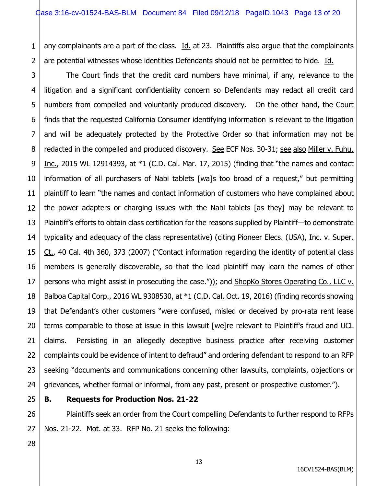1 2 any complainants are a part of the class.  $Id.$  at 23. Plaintiffs also argue that the complainants are potential witnesses whose identities Defendants should not be permitted to hide. Id.

3 4 5 6 7 8 9 10 11 12 13 14 15 16 17 18 19 20 21 22 23 24 The Court finds that the credit card numbers have minimal, if any, relevance to the litigation and a significant confidentiality concern so Defendants may redact all credit card numbers from compelled and voluntarily produced discovery. On the other hand, the Court finds that the requested California Consumer identifying information is relevant to the litigation and will be adequately protected by the Protective Order so that information may not be redacted in the compelled and produced discovery. See ECF Nos. 30-31; see also Miller v. Fuhu, Inc., 2015 WL 12914393, at  $*1$  (C.D. Cal. Mar. 17, 2015) (finding that "the names and contact information of all purchasers of Nabi tablets [wa]s too broad of a request," but permitting plaintiff to learn "the names and contact information of customers who have complained about the power adapters or charging issues with the Nabi tablets [as they] may be relevant to Plaintiff's efforts to obtain class certification for the reasons supplied by Plaintiff—to demonstrate typicality and adequacy of the class representative) (citing Pioneer Elecs. (USA), Inc. v. Super. Ct., 40 Cal. 4th 360, 373 (2007) ("Contact information regarding the identity of potential class members is generally discoverable, so that the lead plaintiff may learn the names of other persons who might assist in prosecuting the case.")); and ShopKo Stores Operating Co., LLC v. Balboa Capital Corp., 2016 WL 9308530, at \*1 (C.D. Cal. Oct. 19, 2016) (finding records showing that Defendant's other customers "were confused, misled or deceived by pro-rata rent lease terms comparable to those at issue in this lawsuit [we]re relevant to Plaintiff's fraud and UCL claims. Persisting in an allegedly deceptive business practice after receiving customer complaints could be evidence of intent to defraud" and ordering defendant to respond to an RFP seeking "documents and communications concerning other lawsuits, complaints, objections or grievances, whether formal or informal, from any past, present or prospective customer.").

25

26

27

#### **B. Requests for Production Nos. 21-22**

Plaintiffs seek an order from the Court compelling Defendants to further respond to RFPs Nos. 21-22. Mot. at 33. RFP No. 21 seeks the following:

28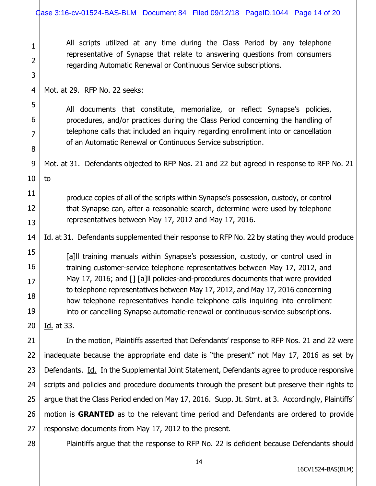| $\mathbf{1}$<br>$\overline{2}$<br>3 | All scripts utilized at any time during the Class Period by any telephone<br>representative of Synapse that relate to answering questions from consumers<br>regarding Automatic Renewal or Continuous Service subscriptions.                       |  |  |  |  |
|-------------------------------------|----------------------------------------------------------------------------------------------------------------------------------------------------------------------------------------------------------------------------------------------------|--|--|--|--|
| $\overline{4}$                      | Mot. at 29. RFP No. 22 seeks:                                                                                                                                                                                                                      |  |  |  |  |
| 5                                   |                                                                                                                                                                                                                                                    |  |  |  |  |
| 6                                   | All documents that constitute, memorialize, or reflect Synapse's policies,<br>procedures, and/or practices during the Class Period concerning the handling of                                                                                      |  |  |  |  |
| $\overline{7}$                      | telephone calls that included an inquiry regarding enrollment into or cancellation                                                                                                                                                                 |  |  |  |  |
| 8                                   | of an Automatic Renewal or Continuous Service subscription.                                                                                                                                                                                        |  |  |  |  |
| 9                                   | Mot. at 31. Defendants objected to RFP Nos. 21 and 22 but agreed in response to RFP No. 21                                                                                                                                                         |  |  |  |  |
| 10                                  | to                                                                                                                                                                                                                                                 |  |  |  |  |
| 11                                  | produce copies of all of the scripts within Synapse's possession, custody, or control                                                                                                                                                              |  |  |  |  |
| 12                                  | that Synapse can, after a reasonable search, determine were used by telephone<br>representatives between May 17, 2012 and May 17, 2016.                                                                                                            |  |  |  |  |
| 13                                  |                                                                                                                                                                                                                                                    |  |  |  |  |
| 14                                  | Id. at 31. Defendants supplemented their response to RFP No. 22 by stating they would produce                                                                                                                                                      |  |  |  |  |
| 15                                  | [a]II training manuals within Synapse's possession, custody, or control used in                                                                                                                                                                    |  |  |  |  |
| 16                                  | training customer-service telephone representatives between May 17, 2012, and<br>May 17, 2016; and [] [a]ll policies-and-procedures documents that were provided<br>to telephone representatives between May 17, 2012, and May 17, 2016 concerning |  |  |  |  |
| 17                                  |                                                                                                                                                                                                                                                    |  |  |  |  |
| 18                                  | how telephone representatives handle telephone calls inquiring into enrollment                                                                                                                                                                     |  |  |  |  |
| 19                                  | into or cancelling Synapse automatic-renewal or continuous-service subscriptions.                                                                                                                                                                  |  |  |  |  |
| 20                                  | Id. at 33.                                                                                                                                                                                                                                         |  |  |  |  |
| 21                                  | In the motion, Plaintiffs asserted that Defendants' response to RFP Nos. 21 and 22 were                                                                                                                                                            |  |  |  |  |
| 22                                  | inadequate because the appropriate end date is "the present" not May 17, 2016 as set by                                                                                                                                                            |  |  |  |  |
| 23                                  | Defendants. Id. In the Supplemental Joint Statement, Defendants agree to produce responsive                                                                                                                                                        |  |  |  |  |
| 24                                  | scripts and policies and procedure documents through the present but preserve their rights to                                                                                                                                                      |  |  |  |  |
| 25                                  | argue that the Class Period ended on May 17, 2016. Supp. Jt. Stmt. at 3. Accordingly, Plaintiffs'                                                                                                                                                  |  |  |  |  |
| 26                                  | motion is <b>GRANTED</b> as to the relevant time period and Defendants are ordered to provide                                                                                                                                                      |  |  |  |  |
| 27                                  | responsive documents from May 17, 2012 to the present.                                                                                                                                                                                             |  |  |  |  |
| 28                                  | Plaintiffs argue that the response to RFP No. 22 is deficient because Defendants should                                                                                                                                                            |  |  |  |  |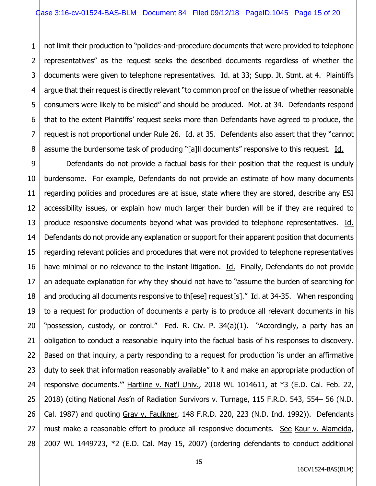1 2 3 4 5 6 7 8 not limit their production to "policies-and-procedure documents that were provided to telephone representatives" as the request seeks the described documents regardless of whether the documents were given to telephone representatives. Id. at 33; Supp. Jt. Stmt. at 4. Plaintiffs argue that their request is directly relevant "to common proof on the issue of whether reasonable consumers were likely to be misled" and should be produced. Mot. at 34. Defendants respond that to the extent Plaintiffs' request seeks more than Defendants have agreed to produce, the request is not proportional under Rule 26. Id. at 35. Defendants also assert that they "cannot assume the burdensome task of producing "[a]ll documents" responsive to this request. Id.

9 10 11 12 13 14 15 16 17 18 19 20 21 22 23 24 25 26 27 28 Defendants do not provide a factual basis for their position that the request is unduly burdensome. For example, Defendants do not provide an estimate of how many documents regarding policies and procedures are at issue, state where they are stored, describe any ESI accessibility issues, or explain how much larger their burden will be if they are required to produce responsive documents beyond what was provided to telephone representatives. Id. Defendants do not provide any explanation or support for their apparent position that documents regarding relevant policies and procedures that were not provided to telephone representatives have minimal or no relevance to the instant litigation. Id. Finally, Defendants do not provide an adequate explanation for why they should not have to "assume the burden of searching for and producing all documents responsive to th[ese] request[s]." Id. at 34-35. When responding to a request for production of documents a party is to produce all relevant documents in his "possession, custody, or control." Fed. R. Civ. P. 34(a)(1). "Accordingly, a party has an obligation to conduct a reasonable inquiry into the factual basis of his responses to discovery. Based on that inquiry, a party responding to a request for production 'is under an affirmative duty to seek that information reasonably available" to it and make an appropriate production of responsive documents." Hartline v. Nat'l Univ., 2018 WL 1014611, at \*3 (E.D. Cal. Feb. 22, 2018) (citing National Ass'n of Radiation Survivors v. Turnage, 115 F.R.D. 543, 554– 56 (N.D. Cal. 1987) and quoting Gray v. Faulkner, 148 F.R.D. 220, 223 (N.D. Ind. 1992)). Defendants must make a reasonable effort to produce all responsive documents. See Kaur v. Alameida, 2007 WL 1449723, \*2 (E.D. Cal. May 15, 2007) (ordering defendants to conduct additional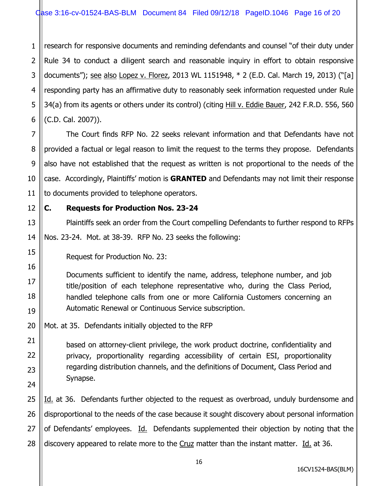1 2 3 4 5 6 research for responsive documents and reminding defendants and counsel "of their duty under Rule 34 to conduct a diligent search and reasonable inquiry in effort to obtain responsive documents"); see also Lopez v. Florez, 2013 WL 1151948, \* 2 (E.D. Cal. March 19, 2013) ("[a] responding party has an affirmative duty to reasonably seek information requested under Rule 34(a) from its agents or others under its control) (citing Hill v. Eddie Bauer, 242 F.R.D. 556, 560 (C.D. Cal. 2007)).

The Court finds RFP No. 22 seeks relevant information and that Defendants have not provided a factual or legal reason to limit the request to the terms they propose. Defendants also have not established that the request as written is not proportional to the needs of the case. Accordingly, Plaintiffs' motion is **GRANTED** and Defendants may not limit their response to documents provided to telephone operators.

12 13

15

16

17

18

19

21

22

23

24

7

8

9

10

11

# **C. Requests for Production Nos. 23-24**

14 Plaintiffs seek an order from the Court compelling Defendants to further respond to RFPs Nos. 23-24. Mot. at 38-39. RFP No. 23 seeks the following:

Request for Production No. 23:

Documents sufficient to identify the name, address, telephone number, and job title/position of each telephone representative who, during the Class Period, handled telephone calls from one or more California Customers concerning an Automatic Renewal or Continuous Service subscription.

20 Mot. at 35. Defendants initially objected to the RFP

> based on attorney-client privilege, the work product doctrine, confidentiality and privacy, proportionality regarding accessibility of certain ESI, proportionality regarding distribution channels, and the definitions of Document, Class Period and Synapse.

25 26 27 28 Id. at 36. Defendants further objected to the request as overbroad, unduly burdensome and disproportional to the needs of the case because it sought discovery about personal information of Defendants' employees. Id. Defendants supplemented their objection by noting that the discovery appeared to relate more to the Cruz matter than the instant matter. Id. at 36.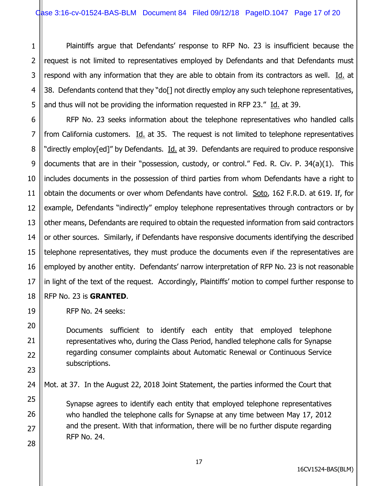1 2 3 4 5 Plaintiffs argue that Defendants' response to RFP No. 23 is insufficient because the request is not limited to representatives employed by Defendants and that Defendants must respond with any information that they are able to obtain from its contractors as well. Id. at 38. Defendants contend that they "do[] not directly employ any such telephone representatives, and thus will not be providing the information requested in RFP 23." Id. at 39.

6 7 8 9 10 11 12 13 14 15 16 17 18 RFP No. 23 seeks information about the telephone representatives who handled calls from California customers. Id. at 35. The request is not limited to telephone representatives "directly employ[ed]" by Defendants. Id. at 39. Defendants are required to produce responsive documents that are in their "possession, custody, or control." Fed. R. Civ. P. 34(a)(1). This includes documents in the possession of third parties from whom Defendants have a right to obtain the documents or over whom Defendants have control. Soto, 162 F.R.D. at 619. If, for example, Defendants "indirectly" employ telephone representatives through contractors or by other means, Defendants are required to obtain the requested information from said contractors or other sources. Similarly, if Defendants have responsive documents identifying the described telephone representatives, they must produce the documents even if the representatives are employed by another entity. Defendants' narrow interpretation of RFP No. 23 is not reasonable in light of the text of the request. Accordingly, Plaintiffs' motion to compel further response to

RFP No. 23 is **GRANTED**.

19

20

21

22

23

24

25

26

27

28

RFP No. 24 seeks:

Documents sufficient to identify each entity that employed telephone representatives who, during the Class Period, handled telephone calls for Synapse regarding consumer complaints about Automatic Renewal or Continuous Service subscriptions.

Mot. at 37. In the August 22, 2018 Joint Statement, the parties informed the Court that

Synapse agrees to identify each entity that employed telephone representatives who handled the telephone calls for Synapse at any time between May 17, 2012 and the present. With that information, there will be no further dispute regarding RFP No. 24.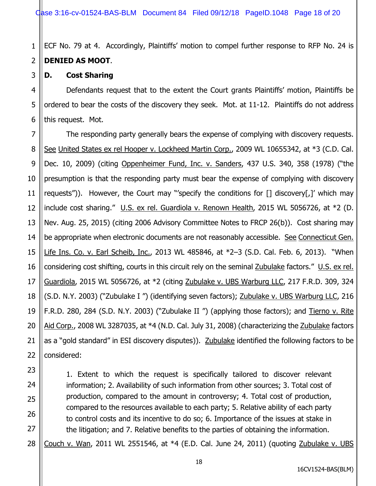1 2 ECF No. 79 at 4. Accordingly, Plaintiffs' motion to compel further response to RFP No. 24 is **DENIED AS MOOT**.

#### **D. Cost Sharing**

3

23

24

25

26

27

4 5 6 Defendants request that to the extent the Court grants Plaintiffs' motion, Plaintiffs be ordered to bear the costs of the discovery they seek. Mot. at 11-12. Plaintiffs do not address this request. Mot.

7 8 9 10 11 12 13 14 15 16 17 18 19 20 21 22 The responding party generally bears the expense of complying with discovery requests. See United States ex rel Hooper v. Lockheed Martin Corp., 2009 WL 10655342, at \*3 (C.D. Cal. Dec. 10, 2009) (citing Oppenheimer Fund, Inc. v. Sanders, 437 U.S. 340, 358 (1978) ("the presumption is that the responding party must bear the expense of complying with discovery requests")). However, the Court may "'specify the conditions for [] discovery[,]' which may include cost sharing." U.S. ex rel. Guardiola v. Renown Health, 2015 WL 5056726, at \*2 (D. Nev. Aug. 25, 2015) (citing 2006 Advisory Committee Notes to FRCP 26(b)). Cost sharing may be appropriate when electronic documents are not reasonably accessible. See Connecticut Gen. Life Ins. Co. v. Earl Scheib, Inc., 2013 WL 485846, at \*2–3 (S.D. Cal. Feb. 6, 2013). "When considering cost shifting, courts in this circuit rely on the seminal Zubulake factors." U.S. ex rel. Guardiola, 2015 WL 5056726, at \*2 (citing Zubulake v. UBS Warburg LLC, 217 F.R.D. 309, 324 (S.D. N.Y. 2003) ("Zubulake I ") (identifying seven factors); Zubulake v. UBS Warburg LLC, 216 F.R.D. 280, 284 (S.D. N.Y. 2003) ("Zubulake II") (applying those factors); and Tierno v. Rite Aid Corp., 2008 WL 3287035, at \*4 (N.D. Cal. July 31, 2008) (characterizing the Zubulake factors as a "gold standard" in ESI discovery disputes)). Zubulake identified the following factors to be considered:

> 1. Extent to which the request is specifically tailored to discover relevant information; 2. Availability of such information from other sources; 3. Total cost of production, compared to the amount in controversy; 4. Total cost of production, compared to the resources available to each party; 5. Relative ability of each party to control costs and its incentive to do so; 6. Importance of the issues at stake in the litigation; and 7. Relative benefits to the parties of obtaining the information.

28 Couch v. Wan, 2011 WL 2551546, at  $*4$  (E.D. Cal. June 24, 2011) (quoting Zubulake v. UBS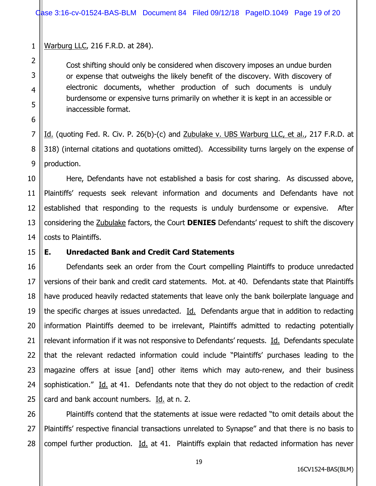1 Warburg LLC, 216 F.R.D. at 284).

> Cost shifting should only be considered when discovery imposes an undue burden or expense that outweighs the likely benefit of the discovery. With discovery of electronic documents, whether production of such documents is unduly burdensome or expensive turns primarily on whether it is kept in an accessible or inaccessible format.

Id. (quoting Fed. R. Civ. P. 26(b)-(c) and Zubulake v. UBS Warburg LLC, et al., 217 F.R.D. at 318) (internal citations and quotations omitted). Accessibility turns largely on the expense of production.

 Here, Defendants have not established a basis for cost sharing. As discussed above, Plaintiffs' requests seek relevant information and documents and Defendants have not established that responding to the requests is unduly burdensome or expensive. After considering the Zubulake factors, the Court **DENIES** Defendants' request to shift the discovery costs to Plaintiffs.

# **E. Unredacted Bank and Credit Card Statements**

 Defendants seek an order from the Court compelling Plaintiffs to produce unredacted versions of their bank and credit card statements. Mot. at 40. Defendants state that Plaintiffs have produced heavily redacted statements that leave only the bank boilerplate language and the specific charges at issues unredacted. Id. Defendants argue that in addition to redacting information Plaintiffs deemed to be irrelevant, Plaintiffs admitted to redacting potentially relevant information if it was not responsive to Defendants' requests. Id. Defendants speculate that the relevant redacted information could include "Plaintiffs' purchases leading to the magazine offers at issue [and] other items which may auto-renew, and their business sophistication." Id. at 41. Defendants note that they do not object to the redaction of credit card and bank account numbers. Id. at n. 2.

 Plaintiffs contend that the statements at issue were redacted "to omit details about the Plaintiffs' respective financial transactions unrelated to Synapse" and that there is no basis to compel further production. Id. at 41. Plaintiffs explain that redacted information has never

2

3

4

5